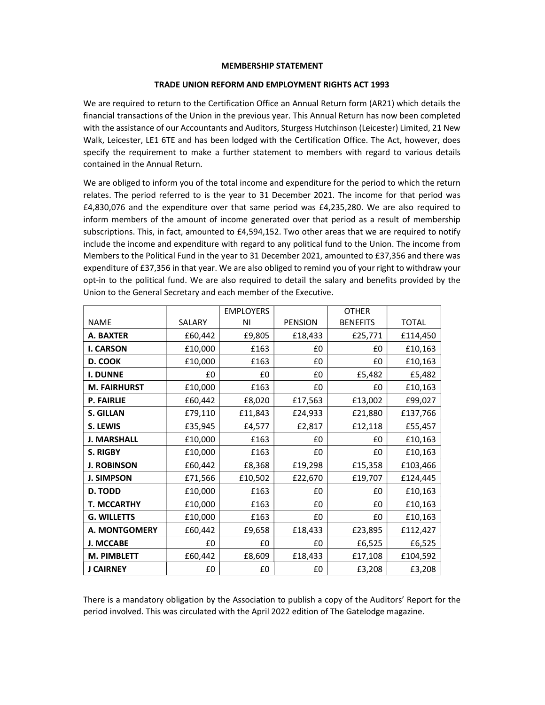## MEMBERSHIP STATEMENT

## TRADE UNION REFORM AND EMPLOYMENT RIGHTS ACT 1993

We are required to return to the Certification Office an Annual Return form (AR21) which details the financial transactions of the Union in the previous year. This Annual Return has now been completed with the assistance of our Accountants and Auditors, Sturgess Hutchinson (Leicester) Limited, 21 New Walk, Leicester, LE1 6TE and has been lodged with the Certification Office. The Act, however, does specify the requirement to make a further statement to members with regard to various details contained in the Annual Return.

We are obliged to inform you of the total income and expenditure for the period to which the return relates. The period referred to is the year to 31 December 2021. The income for that period was £4,830,076 and the expenditure over that same period was £4,235,280. We are also required to inform members of the amount of income generated over that period as a result of membership subscriptions. This, in fact, amounted to £4,594,152. Two other areas that we are required to notify include the income and expenditure with regard to any political fund to the Union. The income from Members to the Political Fund in the year to 31 December 2021, amounted to £37,356 and there was expenditure of £37,356 in that year. We are also obliged to remind you of your right to withdraw your opt-in to the political fund. We are also required to detail the salary and benefits provided by the Union to the General Secretary and each member of the Executive.

|                     |         | <b>EMPLOYERS</b> |                | <b>OTHER</b>    |              |
|---------------------|---------|------------------|----------------|-----------------|--------------|
| <b>NAME</b>         | SALARY  | ΝI               | <b>PENSION</b> | <b>BENEFITS</b> | <b>TOTAL</b> |
| A. BAXTER           | £60,442 | £9,805           | £18,433        | £25,771         | £114,450     |
| <b>I. CARSON</b>    | £10,000 | £163             | £0             | £0              | £10,163      |
| D. COOK             | £10,000 | £163             | £0             | £0              | £10,163      |
| <b>I. DUNNE</b>     | £0      | £0               | £0             | £5,482          | £5,482       |
| <b>M. FAIRHURST</b> | £10,000 | £163             | £0             | £0              | £10,163      |
| <b>P. FAIRLIE</b>   | £60,442 | £8,020           | £17,563        | £13,002         | £99,027      |
| <b>S. GILLAN</b>    | £79,110 | £11,843          | £24,933        | £21,880         | £137,766     |
| S. LEWIS            | £35,945 | £4,577           | £2,817         | £12,118         | £55,457      |
| <b>J. MARSHALL</b>  | £10,000 | £163             | £0             | £0              | £10,163      |
| <b>S. RIGBY</b>     | £10,000 | £163             | £0             | £0              | £10,163      |
| <b>J. ROBINSON</b>  | £60,442 | £8,368           | £19,298        | £15,358         | £103,466     |
| <b>J. SIMPSON</b>   | £71,566 | £10,502          | £22,670        | £19,707         | £124,445     |
| D. TODD             | £10,000 | £163             | £0             | £0              | £10,163      |
| <b>T. MCCARTHY</b>  | £10,000 | £163             | £0             | £0              | £10,163      |
| <b>G. WILLETTS</b>  | £10,000 | £163             | £0             | £0              | £10,163      |
| A. MONTGOMERY       | £60,442 | £9,658           | £18,433        | £23,895         | £112,427     |
| <b>J. MCCABE</b>    | £0      | £0               | £0             | £6,525          | £6,525       |
| <b>M. PIMBLETT</b>  | £60,442 | £8,609           | £18,433        | £17,108         | £104,592     |
| <b>J CAIRNEY</b>    | £0      | £0               | £0             | £3,208          | £3,208       |

There is a mandatory obligation by the Association to publish a copy of the Auditors' Report for the period involved. This was circulated with the April 2022 edition of The Gatelodge magazine.